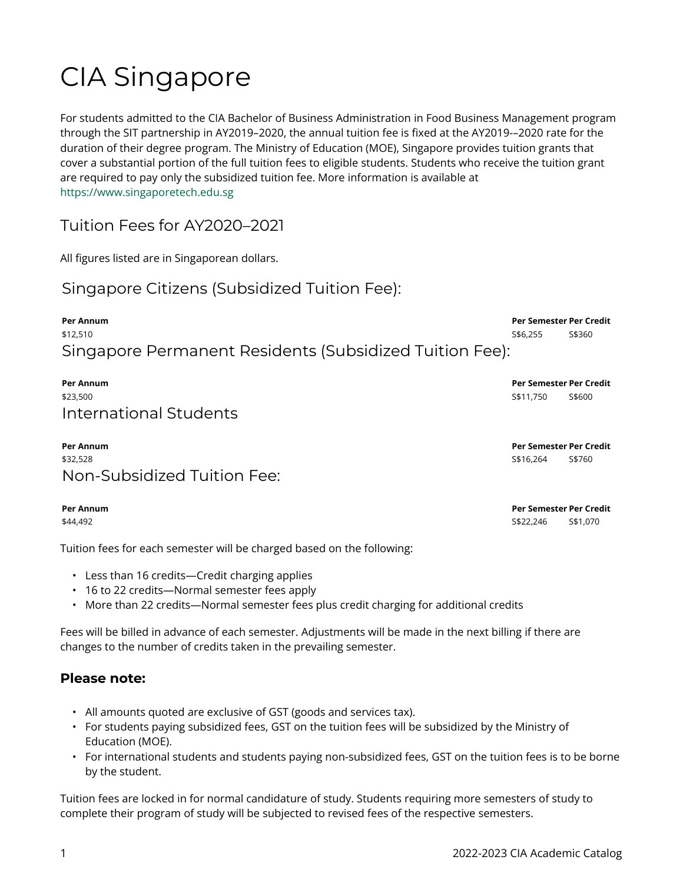# CIA Singapore

For students admitted to the CIA Bachelor of Business Administration in Food Business Management program through the SIT partnership in AY2019–2020, the annual tuition fee is fixed at the AY2019-–2020 rate for the duration of their degree program. The Ministry of Education (MOE), Singapore provides tuition grants that cover a substantial portion of the full tuition fees to eligible students. Students who receive the tuition grant are required to pay only the subsidized tuition fee. More information is available at [https://www.singaporetech.edu.sg](https://www.singaporetech.edu.sg/) 

Tuition Fees for AY2020–2021

All figures listed are in Singaporean dollars.

### Singapore Citizens (Subsidized Tuition Fee):

**Per Annum Per Semester Per Credit**  \$12,510 S\$6,255 S\$360 Singapore Permanent Residents (Subsidized Tuition Fee):

**Per Annum Per Semester Per Credit**  \$23,500 S\$11,750 S\$600 International Students

**Per Annum Per Semester Per Credit**  \$32,528 S\$16,264 S\$760 Non-Subsidized Tuition Fee:

Tuition fees for each semester will be charged based on the following:

- Less than 16 credits—Credit charging applies
- 16 to 22 credits—Normal semester fees apply
- More than 22 credits—Normal semester fees plus credit charging for additional credits

Fees will be billed in advance of each semester. Adjustments will be made in the next billing if there are changes to the number of credits taken in the prevailing semester.

#### **Please note:**

- All amounts quoted are exclusive of GST (goods and services tax).
- For students paying subsidized fees, GST on the tuition fees will be subsidized by the Ministry of Education (MOE).
- For international students and students paying non-subsidized fees, GST on the tuition fees is to be borne by the student.

Tuition fees are locked in for normal candidature of study. Students requiring more semesters of study to complete their program of study will be subjected to revised fees of the respective semesters.

**Per Annum Per Semester Per Credit**  \$44,492 S\$22,246 S\$1,070